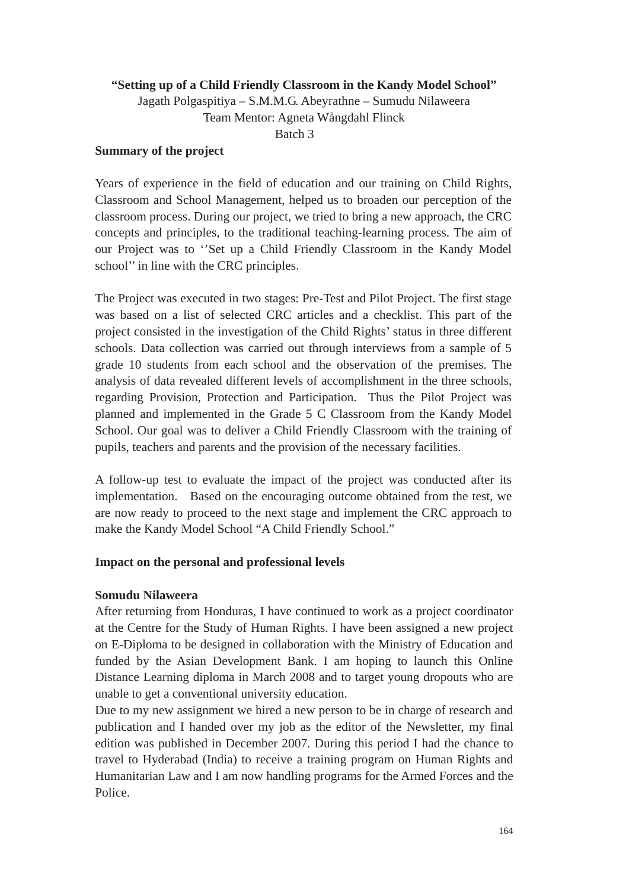# **"Setting up of a Child Friendly Classroom in the Kandy Model School"**

Jagath Polgaspitiya – S.M.M.G. Abeyrathne – Sumudu Nilaweera Team Mentor: Agneta Wångdahl Flinck Batch 3

### **Summary of the project**

Years of experience in the field of education and our training on Child Rights, Classroom and School Management, helped us to broaden our perception of the classroom process. During our project, we tried to bring a new approach, the CRC concepts and principles, to the traditional teaching-learning process. The aim of our Project was to ''Set up a Child Friendly Classroom in the Kandy Model school'' in line with the CRC principles.

The Project was executed in two stages: Pre-Test and Pilot Project. The first stage was based on a list of selected CRC articles and a checklist. This part of the project consisted in the investigation of the Child Rights' status in three different schools. Data collection was carried out through interviews from a sample of 5 grade 10 students from each school and the observation of the premises. The analysis of data revealed different levels of accomplishment in the three schools, regarding Provision, Protection and Participation. Thus the Pilot Project was planned and implemented in the Grade 5 C Classroom from the Kandy Model School. Our goal was to deliver a Child Friendly Classroom with the training of pupils, teachers and parents and the provision of the necessary facilities.

A follow-up test to evaluate the impact of the project was conducted after its implementation. Based on the encouraging outcome obtained from the test, we are now ready to proceed to the next stage and implement the CRC approach to make the Kandy Model School "A Child Friendly School."

### **Impact on the personal and professional levels**

### **Somudu Nilaweera**

After returning from Honduras, I have continued to work as a project coordinator at the Centre for the Study of Human Rights. I have been assigned a new project on E-Diploma to be designed in collaboration with the Ministry of Education and funded by the Asian Development Bank. I am hoping to launch this Online Distance Learning diploma in March 2008 and to target young dropouts who are unable to get a conventional university education.

Due to my new assignment we hired a new person to be in charge of research and publication and I handed over my job as the editor of the Newsletter, my final edition was published in December 2007. During this period I had the chance to travel to Hyderabad (India) to receive a training program on Human Rights and Humanitarian Law and I am now handling programs for the Armed Forces and the Police.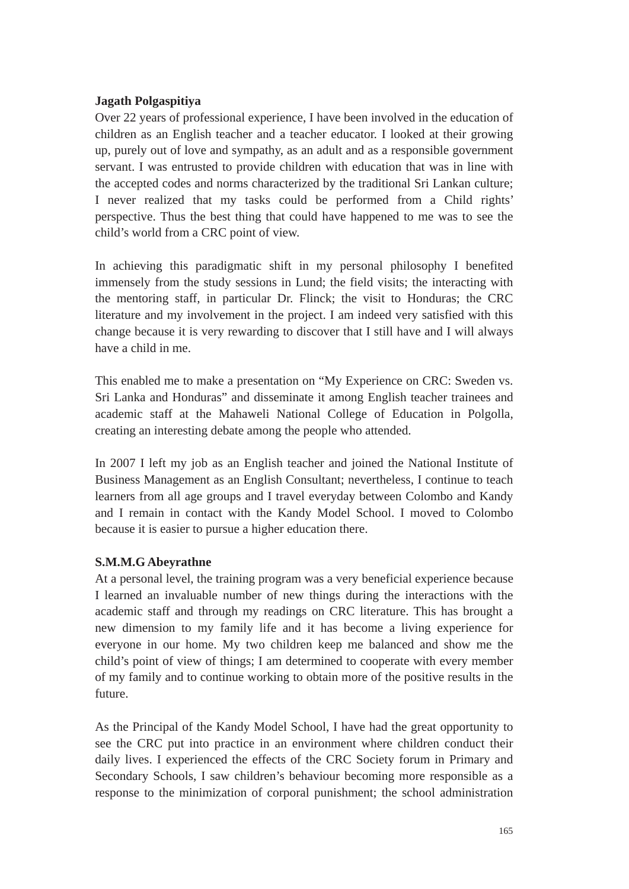## **Jagath Polgaspitiya**

Over 22 years of professional experience, I have been involved in the education of children as an English teacher and a teacher educator. I looked at their growing up, purely out of love and sympathy, as an adult and as a responsible government servant. I was entrusted to provide children with education that was in line with the accepted codes and norms characterized by the traditional Sri Lankan culture; I never realized that my tasks could be performed from a Child rights' perspective. Thus the best thing that could have happened to me was to see the child's world from a CRC point of view.

In achieving this paradigmatic shift in my personal philosophy I benefited immensely from the study sessions in Lund; the field visits; the interacting with the mentoring staff, in particular Dr. Flinck; the visit to Honduras; the CRC literature and my involvement in the project. I am indeed very satisfied with this change because it is very rewarding to discover that I still have and I will always have a child in me.

This enabled me to make a presentation on "My Experience on CRC: Sweden vs. Sri Lanka and Honduras" and disseminate it among English teacher trainees and academic staff at the Mahaweli National College of Education in Polgolla, creating an interesting debate among the people who attended.

In 2007 I left my job as an English teacher and joined the National Institute of Business Management as an English Consultant; nevertheless, I continue to teach learners from all age groups and I travel everyday between Colombo and Kandy and I remain in contact with the Kandy Model School. I moved to Colombo because it is easier to pursue a higher education there.

# **S.M.M.G Abeyrathne**

At a personal level, the training program was a very beneficial experience because I learned an invaluable number of new things during the interactions with the academic staff and through my readings on CRC literature. This has brought a new dimension to my family life and it has become a living experience for everyone in our home. My two children keep me balanced and show me the child's point of view of things; I am determined to cooperate with every member of my family and to continue working to obtain more of the positive results in the future.

As the Principal of the Kandy Model School, I have had the great opportunity to see the CRC put into practice in an environment where children conduct their daily lives. I experienced the effects of the CRC Society forum in Primary and Secondary Schools, I saw children's behaviour becoming more responsible as a response to the minimization of corporal punishment; the school administration